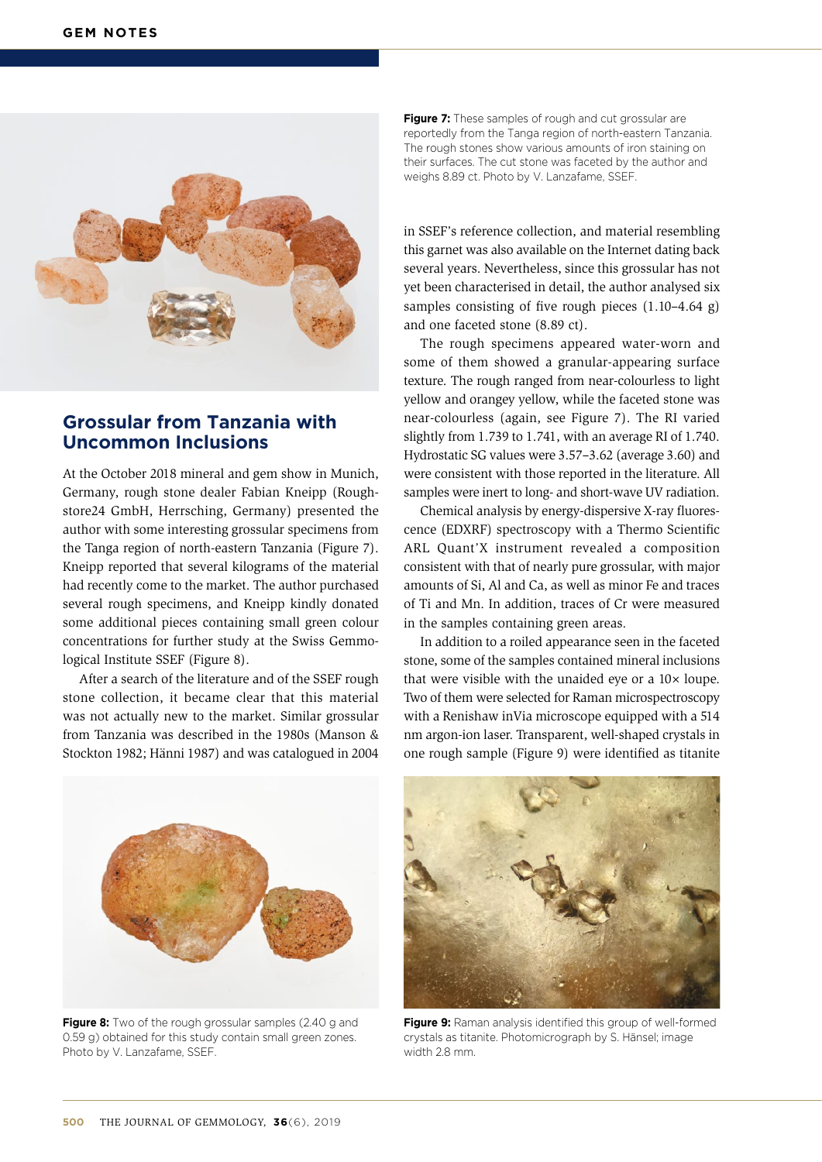

## **Grossular from Tanzania with Uncommon Inclusions**

At the October 2018 mineral and gem show in Munich, Germany, rough stone dealer Fabian Kneipp (Roughstore24 GmbH, Herrsching, Germany) presented the author with some interesting grossular specimens from the Tanga region of north-eastern Tanzania (Figure 7). Kneipp reported that several kilograms of the material had recently come to the market. The author purchased several rough specimens, and Kneipp kindly donated some additional pieces containing small green colour concentrations for further study at the Swiss Gemmological Institute SSEF (Figure 8).

After a search of the literature and of the SSEF rough stone collection, it became clear that this material was not actually new to the market. Similar grossular from Tanzania was described in the 1980s (Manson & Stockton 1982; Hänni 1987) and was catalogued in 2004 **Figure 7:** These samples of rough and cut grossular are reportedly from the Tanga region of north-eastern Tanzania. The rough stones show various amounts of iron staining on their surfaces. The cut stone was faceted by the author and weighs 8.89 ct. Photo by V. Lanzafame, SSEF.

in SSEF's reference collection, and material resembling this garnet was also available on the Internet dating back several years. Nevertheless, since this grossular has not yet been characterised in detail, the author analysed six samples consisting of five rough pieces (1.10–4.64 g) and one faceted stone (8.89 ct).

The rough specimens appeared water-worn and some of them showed a granular-appearing surface texture. The rough ranged from near-colourless to light yellow and orangey yellow, while the faceted stone was near-colourless (again, see Figure 7). The RI varied slightly from 1.739 to 1.741, with an average RI of 1.740. Hydrostatic SG values were 3.57–3.62 (average 3.60) and were consistent with those reported in the literature. All samples were inert to long- and short-wave UV radiation.

Chemical analysis by energy-dispersive X-ray fluorescence (EDXRF) spectroscopy with a Thermo Scientific ARL Quant'X instrument revealed a composition consistent with that of nearly pure grossular, with major amounts of Si, Al and Ca, as well as minor Fe and traces of Ti and Mn. In addition, traces of Cr were measured in the samples containing green areas.

In addition to a roiled appearance seen in the faceted stone, some of the samples contained mineral inclusions that were visible with the unaided eye or a 10× loupe. Two of them were selected for Raman microspectroscopy with a Renishaw inVia microscope equipped with a 514 nm argon-ion laser. Transparent, well-shaped crystals in one rough sample (Figure 9) were identified as titanite



**Figure 8:** Two of the rough grossular samples (2.40 g and 0.59 g) obtained for this study contain small green zones. Photo by V. Lanzafame, SSEF.



**Figure 9:** Raman analysis identified this group of well-formed crystals as titanite. Photomicrograph by S. Hänsel; image width 2.8 mm.